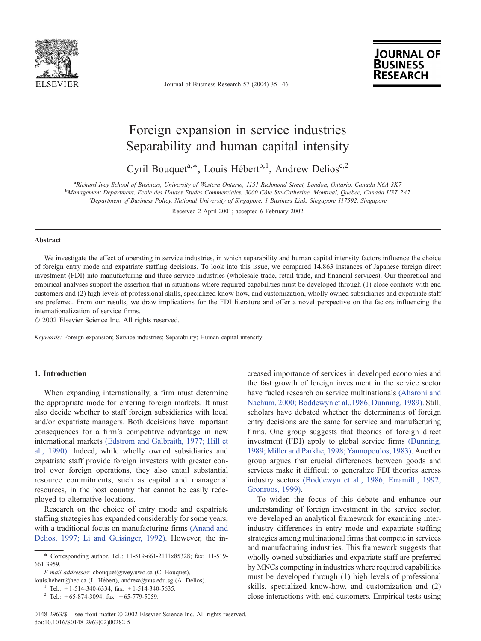

Journal of Business Research 57 (2004) 35 – 46



## Foreign expansion in service industries Separability and human capital intensity

Cyril Bouquet<sup>a,\*</sup>, Louis Hébert<sup>b,1</sup>, Andrew Delios<sup>c,2</sup>

a Richard Ivey School of Business, University of Western Ontario, 1151 Richmond Street, London, Ontario, Canada N6A 3K7

b Management Department, Ecole des Hautes Etudes Commerciales, 3000 Côte Ste-Catherine, Montreal, Quebec, Canada H3T 2A7<br>Consultance of Pusiness Policy National University of Singenous, I Pusiness Link, Singenous, 117502,

<sup>c</sup>Department of Business Policy, National University of Singapore, 1 Business Link, Singapore 117592, Singapore

Received 2 April 2001; accepted 6 February 2002

#### Abstract

We investigate the effect of operating in service industries, in which separability and human capital intensity factors influence the choice of foreign entry mode and expatriate staffing decisions. To look into this issue, we compared 14,863 instances of Japanese foreign direct investment (FDI) into manufacturing and three service industries (wholesale trade, retail trade, and financial services). Our theoretical and empirical analyses support the assertion that in situations where required capabilities must be developed through (1) close contacts with end customers and (2) high levels of professional skills, specialized know-how, and customization, wholly owned subsidiaries and expatriate staff are preferred. From our results, we draw implications for the FDI literature and offer a novel perspective on the factors influencing the internationalization of service firms.

 $© 2002 Elsevier Science Inc. All rights reserved.$ 

Keywords: Foreign expansion; Service industries; Separability; Human capital intensity

### 1. Introduction

When expanding internationally, a firm must determine the appropriate mode for entering foreign markets. It must also decide whether to staff foreign subsidiaries with local and/or expatriate managers. Both decisions have important consequences for a firm's competitive advantage in new international markets [\(Edstrom and Galbraith, 1977; Hill et](#page--1-0) al., 1990). Indeed, while wholly owned subsidiaries and expatriate staff provide foreign investors with greater control over foreign operations, they also entail substantial resource commitments, such as capital and managerial resources, in the host country that cannot be easily redeployed to alternative locations.

Research on the choice of entry mode and expatriate staffing strategies has expanded considerably for some years, with a traditional focus on manufacturing firms [\(Anand and](#page--1-0) Delios, 1997; Li and Guisinger, 1992). However, the in-

E-mail addresses: cbouquet@ivey.uwo.ca (C. Bouquet),

louis.hebert@hec.ca (L. Hébert), andrew@nus.edu.sg (A. Delios). <sup>1</sup> Tel.: +1-514-340-6334; fax: +1-514-340-5635.

creased importance of services in developed economies and the fast growth of foreign investment in the service sector have fueled research on service multinationals [\(Aharoni and](#page--1-0) Nachum, 2000; Boddewyn et al.,1986; Dunning, 1989). Still, scholars have debated whether the determinants of foreign entry decisions are the same for service and manufacturing firms. One group suggests that theories of foreign direct investment (FDI) apply to global service firms [\(Dunning,](#page--1-0) 1989; Miller and Parkhe, 1998; Yannopoulos, 1983). Another group argues that crucial differences between goods and services make it difficult to generalize FDI theories across industry sectors [\(Boddewyn et al., 1986; Erramilli, 1992;](#page--1-0) Gronroos, 1999).

To widen the focus of this debate and enhance our understanding of foreign investment in the service sector, we developed an analytical framework for examining interindustry differences in entry mode and expatriate staffing strategies among multinational firms that compete in services and manufacturing industries. This framework suggests that wholly owned subsidiaries and expatriate staff are preferred by MNCs competing in industries where required capabilities must be developed through (1) high levels of professional skills, specialized know-how, and customization and (2) close interactions with end customers. Empirical tests using

<sup>\*</sup> Corresponding author. Tel.: +1-519-661-2111x85328; fax: +1-519- 661-3959.

<sup>&</sup>lt;sup>2</sup> Tel.: +65-874-3094; fax: +65-779-5059.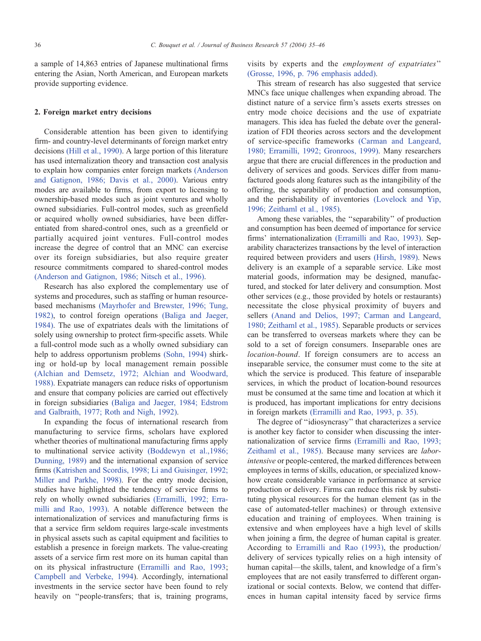a sample of 14,863 entries of Japanese multinational firms entering the Asian, North American, and European markets provide supporting evidence.

#### 2. Foreign market entry decisions

Considerable attention has been given to identifying firm- and country-level determinants of foreign market entry decisions [\(Hill et al., 1990\).](#page--1-0) A large portion of this literature has used internalization theory and transaction cost analysis to explain how companies enter foreign markets [\(Anderson](#page--1-0) and Gatignon, 1986; Davis et al., 2000). Various entry modes are available to firms, from export to licensing to ownership-based modes such as joint ventures and wholly owned subsidiaries. Full-control modes, such as greenfield or acquired wholly owned subsidiaries, have been differentiated from shared-control ones, such as a greenfield or partially acquired joint ventures. Full-control modes increase the degree of control that an MNC can exercise over its foreign subsidiaries, but also require greater resource commitments compared to shared-control modes [\(Anderson and Gatignon, 1986; Nitsch et al., 1996\).](#page--1-0)

Research has also explored the complementary use of systems and procedures, such as staffing or human resourcebased mechanisms [\(Mayrhofer and Brewster, 1996; Tung,](#page--1-0) 1982), to control foreign operations [\(Baliga and Jaeger,](#page--1-0) 1984). The use of expatriates deals with the limitations of solely using ownership to protect firm-specific assets. While a full-control mode such as a wholly owned subsidiary can help to address opportunism problems [\(Sohn, 1994\)](#page--1-0) shirking or hold-up by local management remain possible [\(Alchian and Demsetz, 1972; Alchian and Woodward,](#page--1-0) 1988). Expatriate managers can reduce risks of opportunism and ensure that company policies are carried out effectively in foreign subsidiaries [\(Baliga and Jaeger, 1984; Edstrom](#page--1-0) and Galbraith, 1977; Roth and Nigh, 1992).

In expanding the focus of international research from manufacturing to service firms, scholars have explored whether theories of multinational manufacturing firms apply to multinational service activity [\(Boddewyn et al.,1986;](#page--1-0) Dunning, 1989) and the international expansion of service firms [\(Katrishen and Scordis, 1998; Li and Guisinger, 1992;](#page--1-0) Miller and Parkhe, 1998). For the entry mode decision, studies have highlighted the tendency of service firms to rely on wholly owned subsidiaries [\(Erramilli, 1992; Erra](#page--1-0)milli and Rao, 1993). A notable difference between the internationalization of services and manufacturing firms is that a service firm seldom requires large-scale investments in physical assets such as capital equipment and facilities to establish a presence in foreign markets. The value-creating assets of a service firm rest more on its human capital than on its physical infrastructure ([Erramilli and Rao, 1993;](#page--1-0) [Campbell and Verbeke, 1994\)](#page--1-0). Accordingly, international investments in the service sector have been found to rely heavily on "people-transfers; that is, training programs, visits by experts and the employment of expatriates'' [\(Grosse, 1996, p. 796 emphasis added\).](#page--1-0)

This stream of research has also suggested that service MNCs face unique challenges when expanding abroad. The distinct nature of a service firm's assets exerts stresses on entry mode choice decisions and the use of expatriate managers. This idea has fueled the debate over the generalization of FDI theories across sectors and the development of service-specific frameworks [\(Carman and Langeard,](#page--1-0) 1980; Erramilli, 1992; Gronroos, 1999). Many researchers argue that there are crucial differences in the production and delivery of services and goods. Services differ from manufactured goods along features such as the intangibility of the offering, the separability of production and consumption, and the perishability of inventories [\(Lovelock and Yip,](#page--1-0) 1996; Zeithaml et al., 1985).

Among these variables, the ''separability'' of production and consumption has been deemed of importance for service firms' internationalization [\(Erramilli and Rao, 1993\).](#page--1-0) Separability characterizes transactions by the level of interaction required between providers and users [\(Hirsh, 1989\).](#page--1-0) News delivery is an example of a separable service. Like most material goods, information may be designed, manufactured, and stocked for later delivery and consumption. Most other services (e.g., those provided by hotels or restaurants) necessitate the close physical proximity of buyers and sellers [\(Anand and Delios, 1997; Carman and Langeard,](#page--1-0) 1980; Zeithaml et al., 1985). Separable products or services can be transferred to overseas markets where they can be sold to a set of foreign consumers. Inseparable ones are location-bound. If foreign consumers are to access an inseparable service, the consumer must come to the site at which the service is produced. This feature of inseparable services, in which the product of location-bound resources must be consumed at the same time and location at which it is produced, has important implications for entry decisions in foreign markets [\(Erramilli and Rao, 1993, p. 35\).](#page--1-0)

The degree of ''idiosyncrasy'' that characterizes a service is another key factor to consider when discussing the internationalization of service firms [\(Erramilli and Rao, 1993;](#page--1-0) Zeithaml et al., 1985). Because many services are laborintensive or people-centered, the marked differences between employees in terms of skills, education, or specialized knowhow create considerable variance in performance at service production or delivery. Firms can reduce this risk by substituting physical resources for the human element (as in the case of automated-teller machines) or through extensive education and training of employees. When training is extensive and when employees have a high level of skills when joining a firm, the degree of human capital is greater. According to [Erramilli and Rao \(1993\),](#page--1-0) the production/ delivery of services typically relies on a high intensity of human capital—the skills, talent, and knowledge of a firm's employees that are not easily transferred to different organizational or social contexts. Below, we contend that differences in human capital intensity faced by service firms